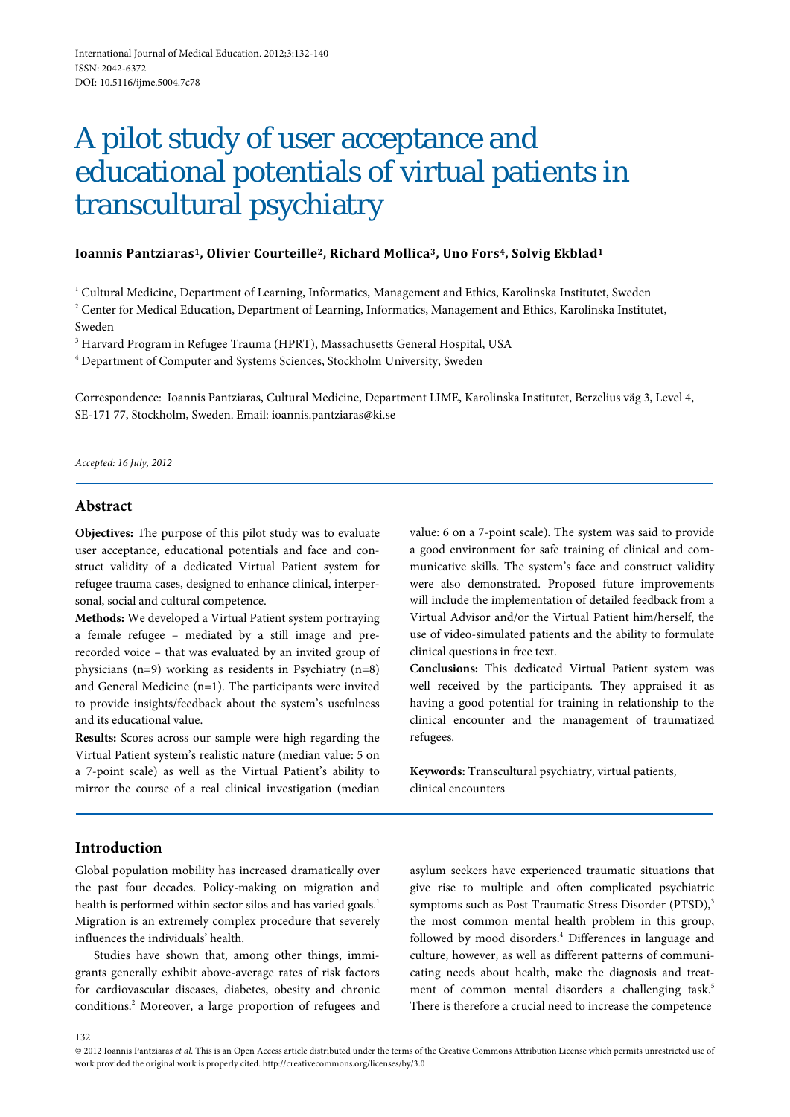# A pilot study of user acceptance and educational potentials of virtual patients in transcultural psychiatry

# Ioannis Pantziaras<sup>1</sup>, Olivier Courteille<sup>2</sup>, Richard Mollica<sup>3</sup>, Uno Fors<sup>4</sup>, Solvig Ekblad<sup>1</sup>

<sup>1</sup> Cultural Medicine, Department of Learning, Informatics, Management and Ethics, Karolinska Institutet, Sweden

<sup>2</sup> Center for Medical Education, Department of Learning, Informatics, Management and Ethics, Karolinska Institutet, Sweden

<sup>3</sup> Harvard Program in Refugee Trauma (HPRT), Massachusetts General Hospital, USA

<sup>4</sup> Department of Computer and Systems Sciences, Stockholm University, Sweden

Correspondence: Ioannis Pantziaras, Cultural Medicine, Department LIME, Karolinska Institutet, Berzelius väg 3, Level 4, SE-171 77, Stockholm, Sweden. Email: ioannis.pantziaras@ki.se

*Accepted: 16 July, 2012*

# **Abstract**

**Objectives:** The purpose of this pilot study was to evaluate user acceptance, educational potentials and face and construct validity of a dedicated Virtual Patient system for refugee trauma cases, designed to enhance clinical, interpersonal, social and cultural competence.

**Methods:** We developed a Virtual Patient system portraying a female refugee – mediated by a still image and prerecorded voice – that was evaluated by an invited group of physicians (n=9) working as residents in Psychiatry (n=8) and General Medicine (n=1). The participants were invited to provide insights/feedback about the system's usefulness and its educational value.

**Results:** Scores across our sample were high regarding the Virtual Patient system's realistic nature (median value: 5 on a 7-point scale) as well as the Virtual Patient's ability to mirror the course of a real clinical investigation (median value: 6 on a 7-point scale). The system was said to provide a good environment for safe training of clinical and communicative skills. The system's face and construct validity were also demonstrated. Proposed future improvements will include the implementation of detailed feedback from a Virtual Advisor and/or the Virtual Patient him/herself, the use of video-simulated patients and the ability to formulate clinical questions in free text.

**Conclusions:** This dedicated Virtual Patient system was well received by the participants. They appraised it as having a good potential for training in relationship to the clinical encounter and the management of traumatized refugees.

**Keywords:** Transcultural psychiatry, virtual patients, clinical encounters

# **Introduction**

Global population mobility has increased dramatically over the past four decades. Policy-making on migration and health is performed within sector silos and has varied goals.<sup>1</sup> Migration is an extremely complex procedure that severely influences the individuals' health.

Studies have shown that, among other things, immigrants generally exhibit above-average rates of risk factors for cardiovascular diseases, diabetes, obesity and chronic conditions.2 Moreover, a large proportion of refugees and

asylum seekers have experienced traumatic situations that give rise to multiple and often complicated psychiatric symptoms such as Post Traumatic Stress Disorder  $(PTSD)^3$ the most common mental health problem in this group, followed by mood disorders.4 Differences in language and culture, however, as well as different patterns of communicating needs about health, make the diagnosis and treatment of common mental disorders a challenging task.<sup>5</sup> There is therefore a crucial need to increase the competence

<sup>© 2012</sup> Ioannis Pantziaras *et al*. This is an Open Access article distributed under the terms of the Creative Commons Attribution License which permits unrestricted use of work provided the original work is properly cited. http://creativecommons.org/licenses/by/3.0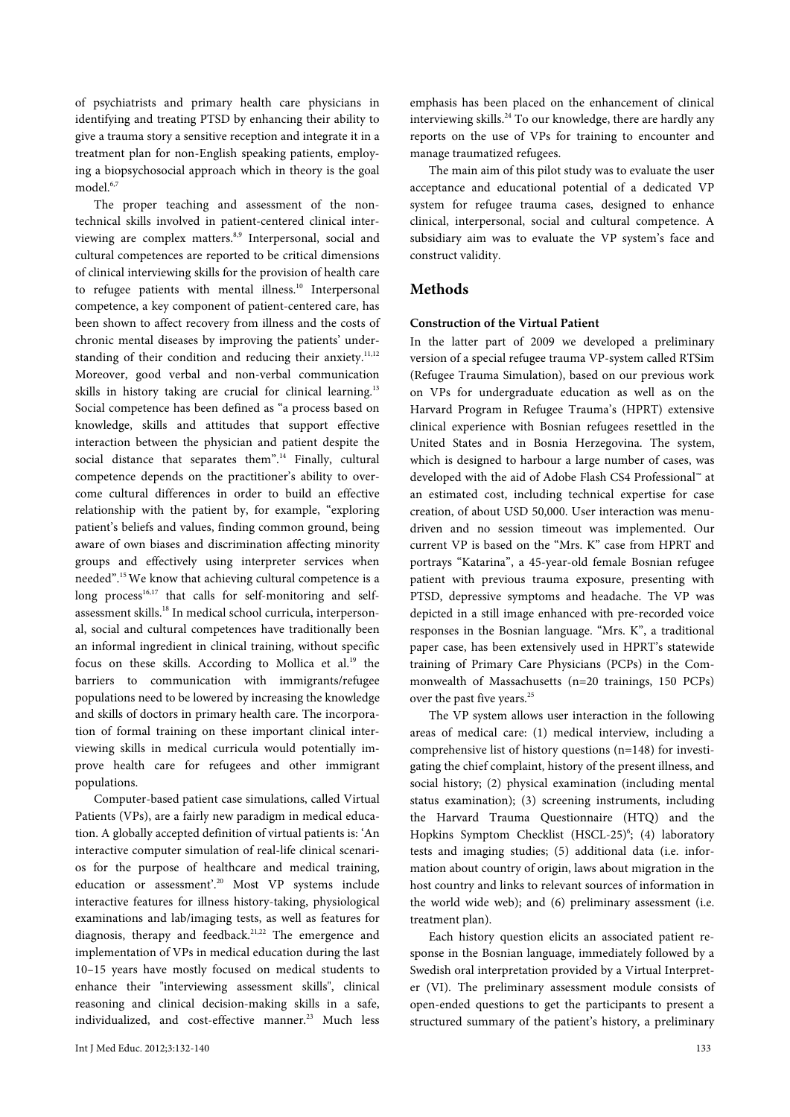of psychiatrists and primary health care physicians in identifying and treating PTSD by enhancing their ability to give a trauma story a sensitive reception and integrate it in a treatment plan for non-English speaking patients, employing a biopsychosocial approach which in theory is the goal model.<sup>6,7</sup>

The proper teaching and assessment of the nontechnical skills involved in patient-centered clinical interviewing are complex matters.<sup>8,9</sup> Interpersonal, social and cultural competences are reported to be critical dimensions of clinical interviewing skills for the provision of health care to refugee patients with mental illness.<sup>10</sup> Interpersonal competence, a key component of patient-centered care, has been shown to affect recovery from illness and the costs of chronic mental diseases by improving the patients' understanding of their condition and reducing their anxiety.<sup>11,12</sup> Moreover, good verbal and non-verbal communication skills in history taking are crucial for clinical learning.<sup>13</sup> Social competence has been defined as "a process based on knowledge, skills and attitudes that support effective interaction between the physician and patient despite the social distance that separates them".<sup>14</sup> Finally, cultural competence depends on the practitioner's ability to overcome cultural differences in order to build an effective relationship with the patient by, for example, "exploring patient's beliefs and values, finding common ground, being aware of own biases and discrimination affecting minority groups and effectively using interpreter services when needed".15 We know that achieving cultural competence is a long process<sup>16,17</sup> that calls for self-monitoring and selfassessment skills.<sup>18</sup> In medical school curricula, interpersonal, social and cultural competences have traditionally been an informal ingredient in clinical training, without specific focus on these skills. According to Mollica et al.<sup>19</sup> the barriers to communication with immigrants/refugee populations need to be lowered by increasing the knowledge and skills of doctors in primary health care. The incorporation of formal training on these important clinical interviewing skills in medical curricula would potentially improve health care for refugees and other immigrant populations.

Computer-based patient case simulations, called Virtual Patients (VPs), are a fairly new paradigm in medical education. A globally accepted definition of virtual patients is: 'An interactive computer simulation of real-life clinical scenarios for the purpose of healthcare and medical training, education or assessment'.<sup>20</sup> Most VP systems include interactive features for illness history-taking, physiological examinations and lab/imaging tests, as well as features for diagnosis, therapy and feedback.<sup>21,22</sup> The emergence and implementation of VPs in medical education during the last 10–15 years have mostly focused on medical students to enhance their "interviewing assessment skills", clinical reasoning and clinical decision-making skills in a safe, individualized, and cost-effective manner.<sup>23</sup> Much less emphasis has been placed on the enhancement of clinical interviewing skills.<sup>24</sup> To our knowledge, there are hardly any reports on the use of VPs for training to encounter and manage traumatized refugees.

The main aim of this pilot study was to evaluate the user acceptance and educational potential of a dedicated VP system for refugee trauma cases, designed to enhance clinical, interpersonal, social and cultural competence. A subsidiary aim was to evaluate the VP system's face and construct validity.

# **Methods**

#### **Construction of the Virtual Patient**

In the latter part of 2009 we developed a preliminary version of a special refugee trauma VP-system called RTSim (Refugee Trauma Simulation), based on our previous work on VPs for undergraduate education as well as on the Harvard Program in Refugee Trauma's (HPRT) extensive clinical experience with Bosnian refugees resettled in the United States and in Bosnia Herzegovina. The system, which is designed to harbour a large number of cases, was developed with the aid of Adobe Flash CS4 Professional™ at an estimated cost, including technical expertise for case creation, of about USD 50,000. User interaction was menudriven and no session timeout was implemented. Our current VP is based on the "Mrs. K" case from HPRT and portrays "Katarina", a 45-year-old female Bosnian refugee patient with previous trauma exposure, presenting with PTSD, depressive symptoms and headache. The VP was depicted in a still image enhanced with pre-recorded voice responses in the Bosnian language. "Mrs. K", a traditional paper case, has been extensively used in HPRT's statewide training of Primary Care Physicians (PCPs) in the Commonwealth of Massachusetts (n=20 trainings, 150 PCPs) over the past five years.<sup>25</sup>

The VP system allows user interaction in the following areas of medical care: (1) medical interview, including a comprehensive list of history questions (n=148) for investigating the chief complaint, history of the present illness, and social history; (2) physical examination (including mental status examination); (3) screening instruments, including the Harvard Trauma Questionnaire (HTQ) and the Hopkins Symptom Checklist (HSCL-25)<sup>6</sup>; (4) laboratory tests and imaging studies; (5) additional data (i.e. information about country of origin, laws about migration in the host country and links to relevant sources of information in the world wide web); and (6) preliminary assessment (i.e. treatment plan).

Each history question elicits an associated patient response in the Bosnian language, immediately followed by a Swedish oral interpretation provided by a Virtual Interpreter (VI). The preliminary assessment module consists of open-ended questions to get the participants to present a structured summary of the patient's history, a preliminary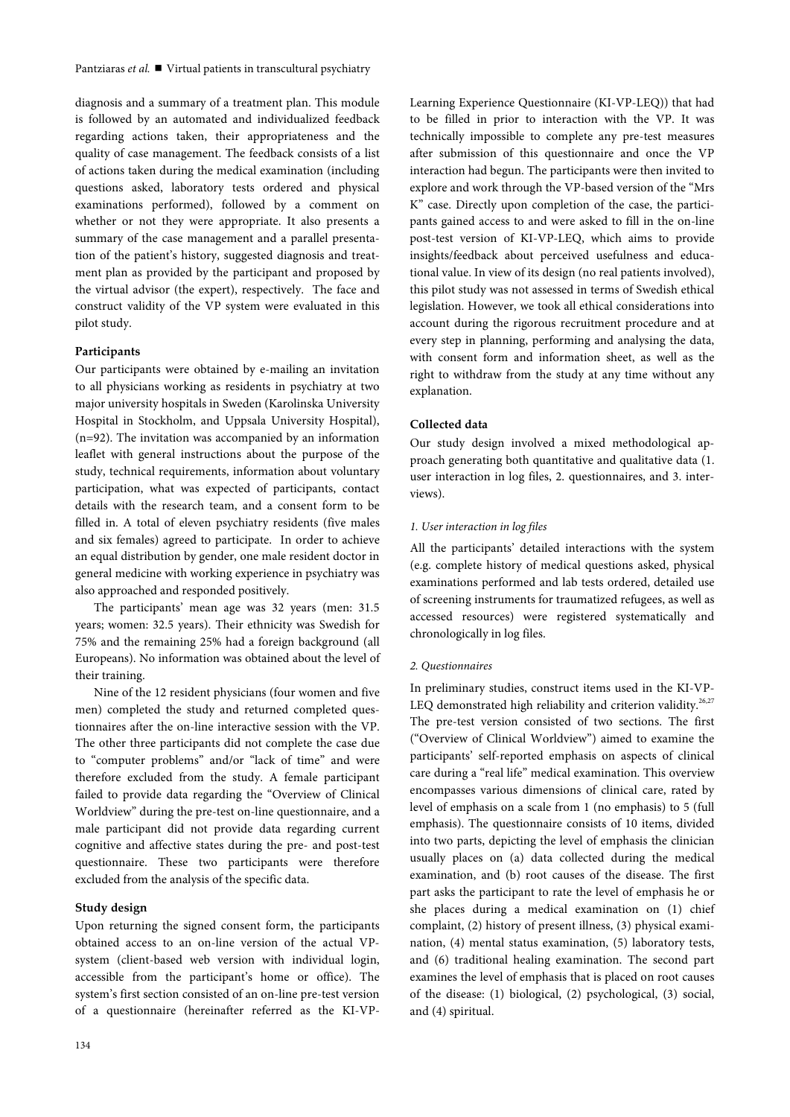diagnosis and a summary of a treatment plan. This module is followed by an automated and individualized feedback regarding actions taken, their appropriateness and the quality of case management. The feedback consists of a list of actions taken during the medical examination (including questions asked, laboratory tests ordered and physical examinations performed), followed by a comment on whether or not they were appropriate. It also presents a summary of the case management and a parallel presentation of the patient's history, suggested diagnosis and treatment plan as provided by the participant and proposed by the virtual advisor (the expert), respectively. The face and construct validity of the VP system were evaluated in this pilot study.

## **Participants**

Our participants were obtained by e-mailing an invitation to all physicians working as residents in psychiatry at two major university hospitals in Sweden (Karolinska University Hospital in Stockholm, and Uppsala University Hospital), (n=92). The invitation was accompanied by an information leaflet with general instructions about the purpose of the study, technical requirements, information about voluntary participation, what was expected of participants, contact details with the research team, and a consent form to be filled in. A total of eleven psychiatry residents (five males and six females) agreed to participate. In order to achieve an equal distribution by gender, one male resident doctor in general medicine with working experience in psychiatry was also approached and responded positively.

The participants' mean age was 32 years (men: 31.5 years; women: 32.5 years). Their ethnicity was Swedish for 75% and the remaining 25% had a foreign background (all Europeans). No information was obtained about the level of their training.

Nine of the 12 resident physicians (four women and five men) completed the study and returned completed questionnaires after the on-line interactive session with the VP. The other three participants did not complete the case due to "computer problems" and/or "lack of time" and were therefore excluded from the study. A female participant failed to provide data regarding the "Overview of Clinical Worldview" during the pre-test on-line questionnaire, and a male participant did not provide data regarding current cognitive and affective states during the pre- and post-test questionnaire. These two participants were therefore excluded from the analysis of the specific data.

# **Study design**

Upon returning the signed consent form, the participants obtained access to an on-line version of the actual VPsystem (client-based web version with individual login, accessible from the participant's home or office). The system's first section consisted of an on-line pre-test version of a questionnaire (hereinafter referred as the KI-VP-

Learning Experience Questionnaire (KI-VP-LEQ)) that had to be filled in prior to interaction with the VP. It was technically impossible to complete any pre-test measures after submission of this questionnaire and once the VP interaction had begun. The participants were then invited to explore and work through the VP-based version of the "Mrs K" case. Directly upon completion of the case, the participants gained access to and were asked to fill in the on-line post-test version of KI-VP-LEQ, which aims to provide insights/feedback about perceived usefulness and educational value. In view of its design (no real patients involved), this pilot study was not assessed in terms of Swedish ethical legislation. However, we took all ethical considerations into account during the rigorous recruitment procedure and at every step in planning, performing and analysing the data, with consent form and information sheet, as well as the right to withdraw from the study at any time without any explanation.

# **Collected data**

Our study design involved a mixed methodological approach generating both quantitative and qualitative data (1. user interaction in log files, 2. questionnaires, and 3. interviews).

# *1. User interaction in log files*

All the participants' detailed interactions with the system (e.g. complete history of medical questions asked, physical examinations performed and lab tests ordered, detailed use of screening instruments for traumatized refugees, as well as accessed resources) were registered systematically and chronologically in log files.

## *2. Questionnaires*

In preliminary studies, construct items used in the KI-VP-LEQ demonstrated high reliability and criterion validity.<sup>26,27</sup> The pre-test version consisted of two sections. The first ("Overview of Clinical Worldview") aimed to examine the participants' self-reported emphasis on aspects of clinical care during a "real life" medical examination. This overview encompasses various dimensions of clinical care, rated by level of emphasis on a scale from 1 (no emphasis) to 5 (full emphasis). The questionnaire consists of 10 items, divided into two parts, depicting the level of emphasis the clinician usually places on (a) data collected during the medical examination, and (b) root causes of the disease. The first part asks the participant to rate the level of emphasis he or she places during a medical examination on (1) chief complaint, (2) history of present illness, (3) physical examination, (4) mental status examination, (5) laboratory tests, and (6) traditional healing examination. The second part examines the level of emphasis that is placed on root causes of the disease: (1) biological, (2) psychological, (3) social, and (4) spiritual.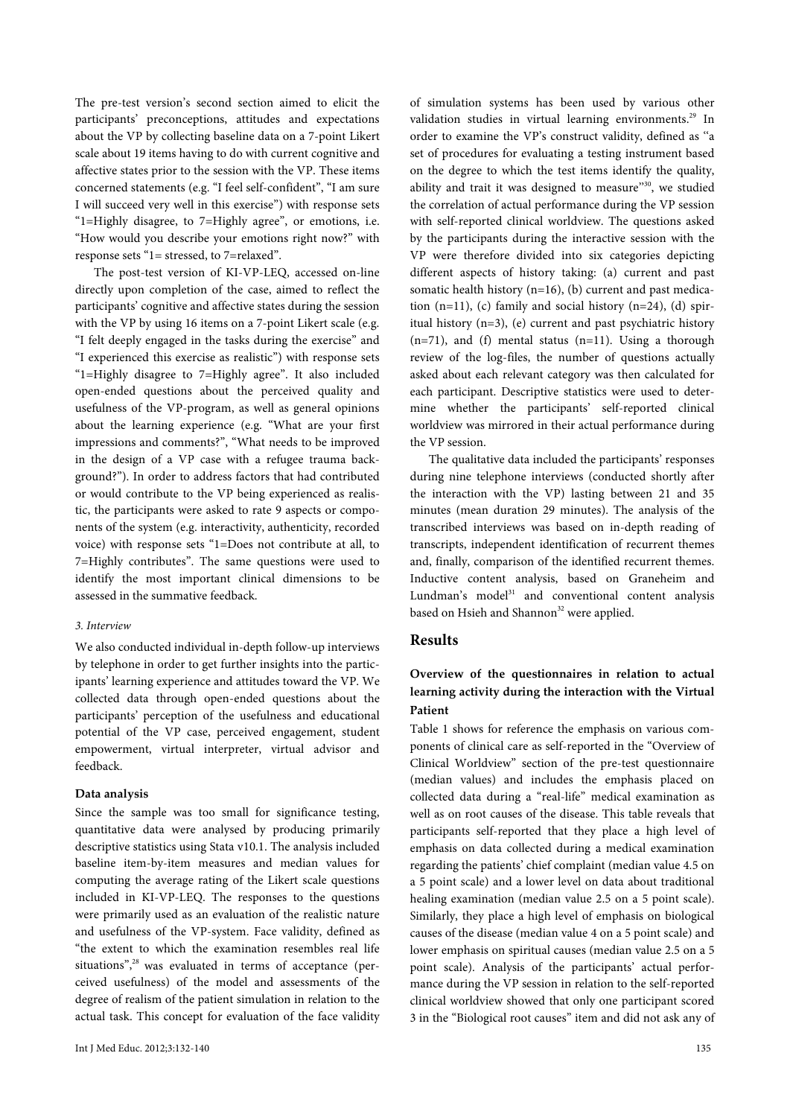The pre-test version's second section aimed to elicit the participants' preconceptions, attitudes and expectations about the VP by collecting baseline data on a 7-point Likert scale about 19 items having to do with current cognitive and affective states prior to the session with the VP. These items concerned statements (e.g. "I feel self-confident", "I am sure I will succeed very well in this exercise") with response sets "1=Highly disagree, to 7=Highly agree", or emotions, i.e. "How would you describe your emotions right now?" with response sets "1= stressed, to 7=relaxed".

The post-test version of KI-VP-LEQ, accessed on-line directly upon completion of the case, aimed to reflect the participants' cognitive and affective states during the session with the VP by using 16 items on a 7-point Likert scale (e.g. "I felt deeply engaged in the tasks during the exercise" and "I experienced this exercise as realistic") with response sets "1=Highly disagree to 7=Highly agree". It also included open-ended questions about the perceived quality and usefulness of the VP-program, as well as general opinions about the learning experience (e.g. "What are your first impressions and comments?", "What needs to be improved in the design of a VP case with a refugee trauma background?"). In order to address factors that had contributed or would contribute to the VP being experienced as realistic, the participants were asked to rate 9 aspects or components of the system (e.g. interactivity, authenticity, recorded voice) with response sets "1=Does not contribute at all, to 7=Highly contributes". The same questions were used to identify the most important clinical dimensions to be assessed in the summative feedback.

#### *3. Interview*

We also conducted individual in-depth follow-up interviews by telephone in order to get further insights into the participants' learning experience and attitudes toward the VP. We collected data through open-ended questions about the participants' perception of the usefulness and educational potential of the VP case, perceived engagement, student empowerment, virtual interpreter, virtual advisor and feedback.

## **Data analysis**

Since the sample was too small for significance testing, quantitative data were analysed by producing primarily descriptive statistics using Stata v10.1. The analysis included baseline item-by-item measures and median values for computing the average rating of the Likert scale questions included in KI-VP-LEQ. The responses to the questions were primarily used as an evaluation of the realistic nature and usefulness of the VP-system. Face validity, defined as "the extent to which the examination resembles real life situations",<sup>28</sup> was evaluated in terms of acceptance (perceived usefulness) of the model and assessments of the degree of realism of the patient simulation in relation to the actual task. This concept for evaluation of the face validity

of simulation systems has been used by various other validation studies in virtual learning environments.<sup>29</sup> In order to examine the VP's construct validity, defined as ''a set of procedures for evaluating a testing instrument based on the degree to which the test items identify the quality, ability and trait it was designed to measure''30, we studied the correlation of actual performance during the VP session with self-reported clinical worldview. The questions asked by the participants during the interactive session with the VP were therefore divided into six categories depicting different aspects of history taking: (a) current and past somatic health history (n=16), (b) current and past medication  $(n=11)$ ,  $(c)$  family and social history  $(n=24)$ ,  $(d)$  spiritual history (n=3), (e) current and past psychiatric history  $(n=71)$ , and  $(f)$  mental status  $(n=11)$ . Using a thorough review of the log-files, the number of questions actually asked about each relevant category was then calculated for each participant. Descriptive statistics were used to determine whether the participants' self-reported clinical worldview was mirrored in their actual performance during the VP session.

The qualitative data included the participants' responses during nine telephone interviews (conducted shortly after the interaction with the VP) lasting between 21 and 35 minutes (mean duration 29 minutes). The analysis of the transcribed interviews was based on in-depth reading of transcripts, independent identification of recurrent themes and, finally, comparison of the identified recurrent themes. Inductive content analysis, based on Graneheim and Lundman's model $31$  and conventional content analysis based on Hsieh and Shannon<sup>32</sup> were applied.

# **Results**

# **Overview of the questionnaires in relation to actual learning activity during the interaction with the Virtual Patient**

Table 1 shows for reference the emphasis on various components of clinical care as self-reported in the "Overview of Clinical Worldview" section of the pre-test questionnaire (median values) and includes the emphasis placed on collected data during a "real-life" medical examination as well as on root causes of the disease. This table reveals that participants self-reported that they place a high level of emphasis on data collected during a medical examination regarding the patients' chief complaint (median value 4.5 on a 5 point scale) and a lower level on data about traditional healing examination (median value 2.5 on a 5 point scale). Similarly, they place a high level of emphasis on biological causes of the disease (median value 4 on a 5 point scale) and lower emphasis on spiritual causes (median value 2.5 on a 5 point scale). Analysis of the participants' actual performance during the VP session in relation to the self-reported clinical worldview showed that only one participant scored 3 in the "Biological root causes" item and did not ask any of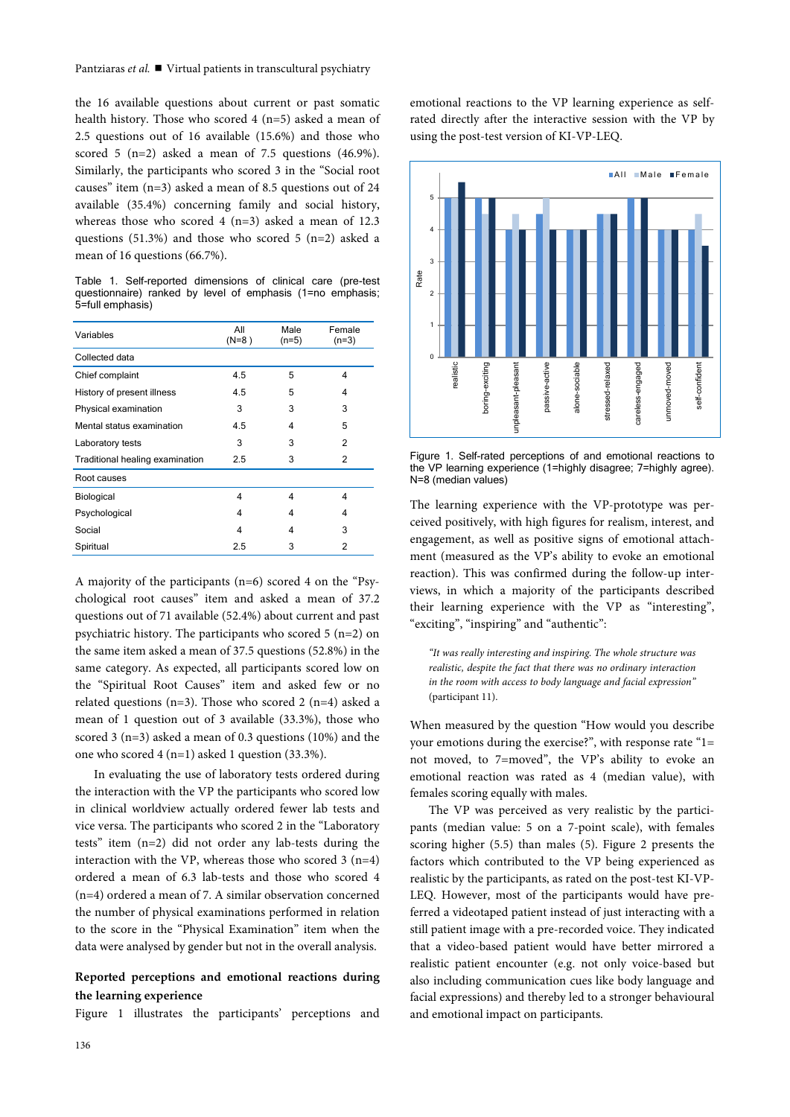the 16 available questions about current or past somatic health history. Those who scored 4 (n=5) asked a mean of 2.5 questions out of 16 available (15.6%) and those who scored 5 (n=2) asked a mean of 7.5 questions (46.9%). Similarly, the participants who scored 3 in the "Social root causes" item (n=3) asked a mean of 8.5 questions out of 24 available (35.4%) concerning family and social history, whereas those who scored 4 (n=3) asked a mean of 12.3 questions (51.3%) and those who scored 5 (n=2) asked a mean of 16 questions (66.7%).

Table 1. Self-reported dimensions of clinical care (pre-test questionnaire) ranked by level of emphasis (1=no emphasis; 5=full emphasis)

| Variables                       | All<br>$(N=8)$ | Male<br>$(n=5)$ | Female<br>$(n=3)$ |
|---------------------------------|----------------|-----------------|-------------------|
| Collected data                  |                |                 |                   |
| Chief complaint                 | 4.5            | 5               | 4                 |
| History of present illness      | 4.5            | 5               | 4                 |
| Physical examination            | 3              | 3               | 3                 |
| Mental status examination       | 4.5            | 4               | 5                 |
| Laboratory tests                | 3              | 3               | 2                 |
| Traditional healing examination | 2.5            | 3               | 2                 |
| Root causes                     |                |                 |                   |
| Biological                      | 4              | 4               | 4                 |
| Psychological                   | 4              | 4               | 4                 |
| Social                          | 4              | 4               | 3                 |
| Spiritual                       | 2.5            | 3               | 2                 |

A majority of the participants (n=6) scored 4 on the "Psychological root causes" item and asked a mean of 37.2 questions out of 71 available (52.4%) about current and past psychiatric history. The participants who scored 5 (n=2) on the same item asked a mean of 37.5 questions (52.8%) in the same category. As expected, all participants scored low on the "Spiritual Root Causes" item and asked few or no related questions (n=3). Those who scored 2 (n=4) asked a mean of 1 question out of 3 available (33.3%), those who scored 3 (n=3) asked a mean of 0.3 questions (10%) and the one who scored 4 (n=1) asked 1 question (33.3%).

In evaluating the use of laboratory tests ordered during the interaction with the VP the participants who scored low in clinical worldview actually ordered fewer lab tests and vice versa. The participants who scored 2 in the "Laboratory tests" item (n=2) did not order any lab-tests during the interaction with the VP, whereas those who scored 3 (n=4) ordered a mean of 6.3 lab-tests and those who scored 4 (n=4) ordered a mean of 7. A similar observation concerned the number of physical examinations performed in relation to the score in the "Physical Examination" item when the data were analysed by gender but not in the overall analysis.

# **Reported perceptions and emotional reactions during the learning experience**

Figure 1 illustrates the participants' perceptions and

emotional reactions to the VP learning experience as selfrated directly after the interactive session with the VP by using the post-test version of KI-VP-LEQ.



Figure 1. Self-rated perceptions of and emotional reactions to the VP learning experience (1=highly disagree; 7=highly agree). N=8 (median values)

The learning experience with the VP-prototype was perceived positively, with high figures for realism, interest, and engagement, as well as positive signs of emotional attachment (measured as the VP's ability to evoke an emotional reaction). This was confirmed during the follow-up interviews, in which a majority of the participants described their learning experience with the VP as "interesting", "exciting", "inspiring" and "authentic":

*"It was really interesting and inspiring. The whole structure was realistic, despite the fact that there was no ordinary interaction in the room with access to body language and facial expression"*  (participant 11).

When measured by the question "How would you describe your emotions during the exercise?", with response rate "1= not moved, to 7=moved", the VP's ability to evoke an emotional reaction was rated as 4 (median value), with females scoring equally with males.

The VP was perceived as very realistic by the participants (median value: 5 on a 7-point scale), with females scoring higher (5.5) than males (5). Figure 2 presents the factors which contributed to the VP being experienced as realistic by the participants, as rated on the post-test KI-VP-LEQ. However, most of the participants would have preferred a videotaped patient instead of just interacting with a still patient image with a pre-recorded voice. They indicated that a video-based patient would have better mirrored a realistic patient encounter (e.g. not only voice-based but also including communication cues like body language and facial expressions) and thereby led to a stronger behavioural and emotional impact on participants.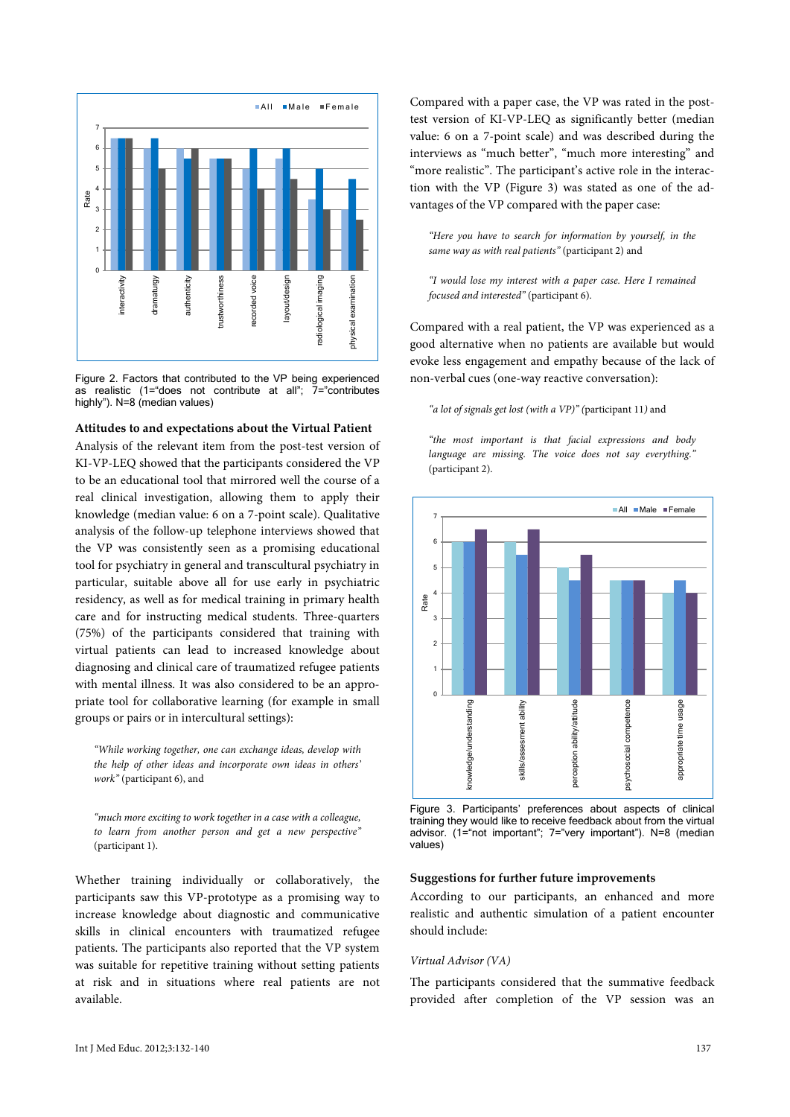

Figure 2. Factors that contributed to the VP being experienced as realistic (1="does not contribute at all"; 7="contributes highly"). N=8 (median values)

## **Attitudes to and expectations about the Virtual Patient**

Analysis of the relevant item from the post-test version of KI-VP-LEQ showed that the participants considered the VP to be an educational tool that mirrored well the course of a real clinical investigation, allowing them to apply their knowledge (median value: 6 on a 7-point scale). Qualitative analysis of the follow-up telephone interviews showed that the VP was consistently seen as a promising educational tool for psychiatry in general and transcultural psychiatry in particular, suitable above all for use early in psychiatric residency, as well as for medical training in primary health care and for instructing medical students. Three-quarters (75%) of the participants considered that training with virtual patients can lead to increased knowledge about diagnosing and clinical care of traumatized refugee patients with mental illness. It was also considered to be an appropriate tool for collaborative learning (for example in small groups or pairs or in intercultural settings):

*"While working together, one can exchange ideas, develop with the help of other ideas and incorporate own ideas in others' work"* (participant 6), and

*"much more exciting to work together in a case with a colleague, to learn from another person and get a new perspective"* (participant 1).

Whether training individually or collaboratively, the participants saw this VP-prototype as a promising way to increase knowledge about diagnostic and communicative skills in clinical encounters with traumatized refugee patients. The participants also reported that the VP system was suitable for repetitive training without setting patients at risk and in situations where real patients are not available.

*"Here you have to search for information by yourself, in the same way as with real patients"* (participant 2) and

*"I would lose my interest with a paper case. Here I remained focused and interested"* (participant 6).

Compared with a real patient, the VP was experienced as a good alternative when no patients are available but would evoke less engagement and empathy because of the lack of non-verbal cues (one-way reactive conversation):

### *"a lot of signals get lost (with a VP)" (*participant 11*)* and

*"the most important is that facial expressions and body language are missing. The voice does not say everything."*  (participant 2).



Figure 3. Participants' preferences about aspects of clinical training they would like to receive feedback about from the virtual advisor. (1="not important"; 7="very important"). N=8 (median values)

## **Suggestions for further future improvements**

According to our participants, an enhanced and more realistic and authentic simulation of a patient encounter should include:

## *Virtual Advisor (VA)*

The participants considered that the summative feedback provided after completion of the VP session was an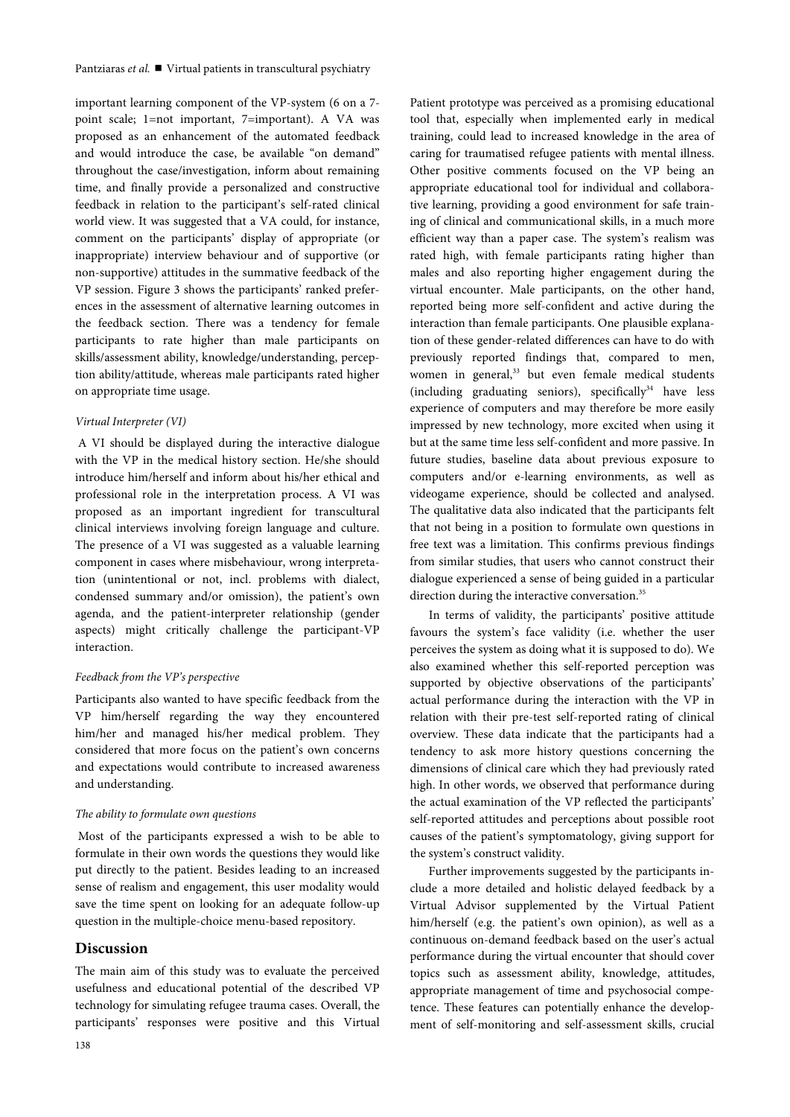important learning component of the VP-system (6 on a 7 point scale; 1=not important, 7=important). A VA was proposed as an enhancement of the automated feedback and would introduce the case, be available "on demand" throughout the case/investigation, inform about remaining time, and finally provide a personalized and constructive feedback in relation to the participant's self-rated clinical world view. It was suggested that a VA could, for instance, comment on the participants' display of appropriate (or inappropriate) interview behaviour and of supportive (or non-supportive) attitudes in the summative feedback of the VP session. Figure 3 shows the participants' ranked preferences in the assessment of alternative learning outcomes in the feedback section. There was a tendency for female participants to rate higher than male participants on skills/assessment ability, knowledge/understanding, perception ability/attitude, whereas male participants rated higher on appropriate time usage.

# *Virtual Interpreter (VI)*

A VI should be displayed during the interactive dialogue with the VP in the medical history section. He/she should introduce him/herself and inform about his/her ethical and professional role in the interpretation process. A VI was proposed as an important ingredient for transcultural clinical interviews involving foreign language and culture. The presence of a VI was suggested as a valuable learning component in cases where misbehaviour, wrong interpretation (unintentional or not, incl. problems with dialect, condensed summary and/or omission), the patient's own agenda, and the patient-interpreter relationship (gender aspects) might critically challenge the participant-VP interaction.

# *Feedback from the VP's perspective*

Participants also wanted to have specific feedback from the VP him/herself regarding the way they encountered him/her and managed his/her medical problem. They considered that more focus on the patient's own concerns and expectations would contribute to increased awareness and understanding.

#### *The ability to formulate own questions*

Most of the participants expressed a wish to be able to formulate in their own words the questions they would like put directly to the patient. Besides leading to an increased sense of realism and engagement, this user modality would save the time spent on looking for an adequate follow-up question in the multiple-choice menu-based repository.

# **Discussion**

The main aim of this study was to evaluate the perceived usefulness and educational potential of the described VP technology for simulating refugee trauma cases. Overall, the participants' responses were positive and this Virtual tool that, especially when implemented early in medical training, could lead to increased knowledge in the area of caring for traumatised refugee patients with mental illness. Other positive comments focused on the VP being an appropriate educational tool for individual and collaborative learning, providing a good environment for safe training of clinical and communicational skills, in a much more efficient way than a paper case. The system's realism was rated high, with female participants rating higher than males and also reporting higher engagement during the virtual encounter. Male participants, on the other hand, reported being more self-confident and active during the interaction than female participants. One plausible explanation of these gender-related differences can have to do with previously reported findings that, compared to men, women in general, <sup>33</sup> but even female medical students (including graduating seniors), specifically $34$  have less experience of computers and may therefore be more easily impressed by new technology, more excited when using it but at the same time less self-confident and more passive. In future studies, baseline data about previous exposure to computers and/or e-learning environments, as well as videogame experience, should be collected and analysed. The qualitative data also indicated that the participants felt that not being in a position to formulate own questions in free text was a limitation. This confirms previous findings from similar studies, that users who cannot construct their dialogue experienced a sense of being guided in a particular direction during the interactive conversation.<sup>35</sup>

Patient prototype was perceived as a promising educational

In terms of validity, the participants' positive attitude favours the system's face validity (i.e. whether the user perceives the system as doing what it is supposed to do). We also examined whether this self-reported perception was supported by objective observations of the participants' actual performance during the interaction with the VP in relation with their pre-test self-reported rating of clinical overview. These data indicate that the participants had a tendency to ask more history questions concerning the dimensions of clinical care which they had previously rated high. In other words, we observed that performance during the actual examination of the VP reflected the participants' self-reported attitudes and perceptions about possible root causes of the patient's symptomatology, giving support for the system's construct validity.

Further improvements suggested by the participants include a more detailed and holistic delayed feedback by a Virtual Advisor supplemented by the Virtual Patient him/herself (e.g. the patient's own opinion), as well as a continuous on-demand feedback based on the user's actual performance during the virtual encounter that should cover topics such as assessment ability, knowledge, attitudes, appropriate management of time and psychosocial competence. These features can potentially enhance the development of self-monitoring and self-assessment skills, crucial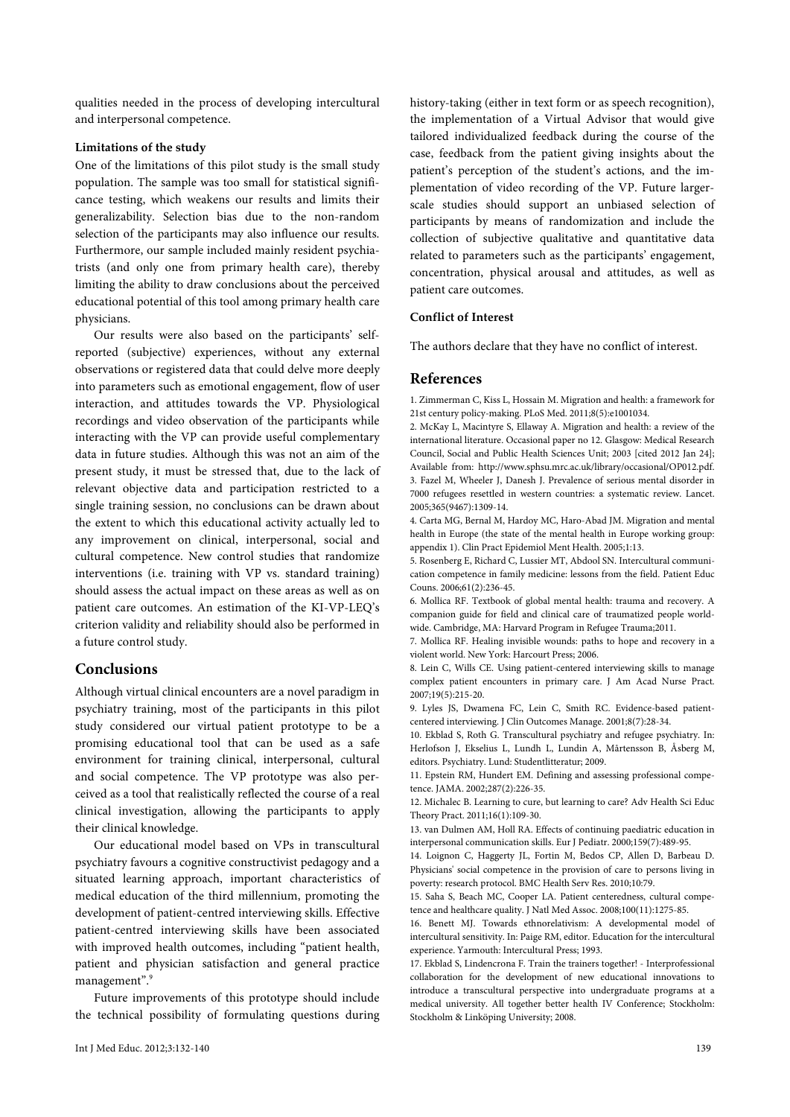qualities needed in the process of developing intercultural and interpersonal competence.

### **Limitations of the study**

One of the limitations of this pilot study is the small study population. The sample was too small for statistical significance testing, which weakens our results and limits their generalizability. Selection bias due to the non-random selection of the participants may also influence our results. Furthermore, our sample included mainly resident psychiatrists (and only one from primary health care), thereby limiting the ability to draw conclusions about the perceived educational potential of this tool among primary health care physicians.

Our results were also based on the participants' selfreported (subjective) experiences, without any external observations or registered data that could delve more deeply into parameters such as emotional engagement, flow of user interaction, and attitudes towards the VP. Physiological recordings and video observation of the participants while interacting with the VP can provide useful complementary data in future studies. Although this was not an aim of the present study, it must be stressed that, due to the lack of relevant objective data and participation restricted to a single training session, no conclusions can be drawn about the extent to which this educational activity actually led to any improvement on clinical, interpersonal, social and cultural competence. New control studies that randomize interventions (i.e. training with VP vs. standard training) should assess the actual impact on these areas as well as on patient care outcomes. An estimation of the KI-VP-LEQ's criterion validity and reliability should also be performed in a future control study.

# **Conclusions**

Although virtual clinical encounters are a novel paradigm in psychiatry training, most of the participants in this pilot study considered our virtual patient prototype to be a promising educational tool that can be used as a safe environment for training clinical, interpersonal, cultural and social competence. The VP prototype was also perceived as a tool that realistically reflected the course of a real clinical investigation, allowing the participants to apply their clinical knowledge.

Our educational model based on VPs in transcultural psychiatry favours a cognitive constructivist pedagogy and a situated learning approach, important characteristics of medical education of the third millennium, promoting the development of patient-centred interviewing skills. Effective patient-centred interviewing skills have been associated with improved health outcomes, including "patient health, patient and physician satisfaction and general practice management".<sup>9</sup>

Future improvements of this prototype should include the technical possibility of formulating questions during history-taking (either in text form or as speech recognition), the implementation of a Virtual Advisor that would give tailored individualized feedback during the course of the case, feedback from the patient giving insights about the patient's perception of the student's actions, and the implementation of video recording of the VP. Future largerscale studies should support an unbiased selection of participants by means of randomization and include the collection of subjective qualitative and quantitative data related to parameters such as the participants' engagement, concentration, physical arousal and attitudes, as well as patient care outcomes.

### **Conflict of Interest**

The authors declare that they have no conflict of interest.

## **References**

1. Zimmerman C, Kiss L, Hossain M. Migration and health: a framework for 21st century policy-making. PLoS Med. 2011;8(5):e1001034.

2. McKay L, Macintyre S, Ellaway A. Migration and health: a review of the international literature. Occasional paper no 12. Glasgow: Medical Research Council, Social and Public Health Sciences Unit; 2003 [cited 2012 Jan 24]; Available from: http://www.sphsu.mrc.ac.uk/library/occasional/OP012.pdf. 3. Fazel M, Wheeler J, Danesh J. Prevalence of serious mental disorder in 7000 refugees resettled in western countries: a systematic review. Lancet. 2005;365(9467):1309-14.

4. Carta MG, Bernal M, Hardoy MC, Haro-Abad JM. Migration and mental health in Europe (the state of the mental health in Europe working group: appendix 1). Clin Pract Epidemiol Ment Health. 2005;1:13.

5. Rosenberg E, Richard C, Lussier MT, Abdool SN. Intercultural communication competence in family medicine: lessons from the field. Patient Educ Couns. 2006;61(2):236-45.

6. Mollica RF. Textbook of global mental health: trauma and recovery. A companion guide for field and clinical care of traumatized people worldwide. Cambridge, MA: Harvard Program in Refugee Trauma;2011.

7. Mollica RF. Healing invisible wounds: paths to hope and recovery in a violent world. New York: Harcourt Press; 2006.

8. Lein C, Wills CE. Using patient-centered interviewing skills to manage complex patient encounters in primary care. J Am Acad Nurse Pract. 2007;19(5):215-20.

9. Lyles JS, Dwamena FC, Lein C, Smith RC. Evidence-based patientcentered interviewing. J Clin Outcomes Manage. 2001;8(7):28-34.

10. Ekblad S, Roth G. Transcultural psychiatry and refugee psychiatry. In: Herlofson J, Ekselius L, Lundh L, Lundin A, Mårtensson B, Åsberg M, editors. Psychiatry. Lund: Studentlitteratur; 2009.

11. Epstein RM, Hundert EM. Defining and assessing professional competence. JAMA. 2002;287(2):226-35.

12. Michalec B. Learning to cure, but learning to care? Adv Health Sci Educ Theory Pract. 2011;16(1):109-30.

13. van Dulmen AM, Holl RA. Effects of continuing paediatric education in interpersonal communication skills. Eur J Pediatr. 2000;159(7):489-95.

14. Loignon C, Haggerty JL, Fortin M, Bedos CP, Allen D, Barbeau D. Physicians' social competence in the provision of care to persons living in poverty: research protocol. BMC Health Serv Res. 2010;10:79.

15. Saha S, Beach MC, Cooper LA. Patient centeredness, cultural competence and healthcare quality. J Natl Med Assoc. 2008;100(11):1275-85.

16. Benett MJ. Towards ethnorelativism: A developmental model of intercultural sensitivity. In: Paige RM, editor. Education for the intercultural experience. Yarmouth: Intercultural Press; 1993.

17. Ekblad S, Lindencrona F. Train the trainers together! - Interprofessional collaboration for the development of new educational innovations to introduce a transcultural perspective into undergraduate programs at a medical university. All together better health IV Conference; Stockholm: Stockholm & Linköping University; 2008.